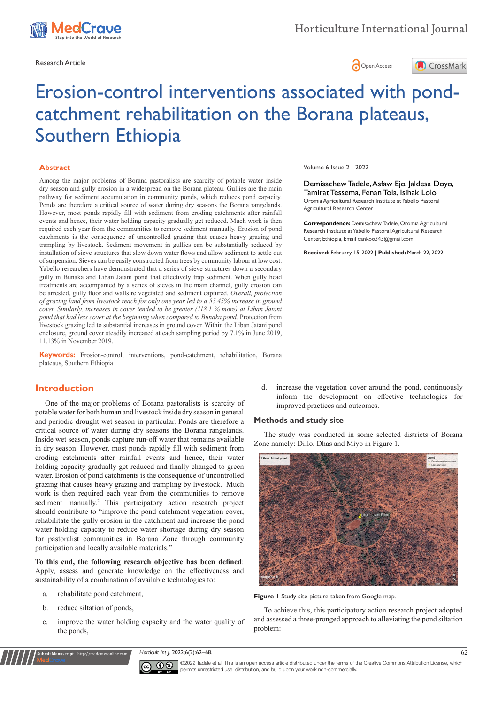

# Research Article **Contract Article** Open Access **Contract Article**



# Erosion-control interventions associated with pondcatchment rehabilitation on the Borana plateaus, Southern Ethiopia

#### **Abstract**

Among the major problems of Borana pastoralists are scarcity of potable water inside dry season and gully erosion in a widespread on the Borana plateau. Gullies are the main pathway for sediment accumulation in community ponds, which reduces pond capacity. Ponds are therefore a critical source of water during dry seasons the Borana rangelands. However, most ponds rapidly fill with sediment from eroding catchments after rainfall events and hence, their water holding capacity gradually get reduced. Much work is then required each year from the communities to remove sediment manually. Erosion of pond catchments is the consequence of uncontrolled grazing that causes heavy grazing and trampling by livestock. Sediment movement in gullies can be substantially reduced by installation of sieve structures that slow down water flows and allow sediment to settle out of suspension. Sieves can be easily constructed from trees by community labour at low cost. Yabello researchers have demonstrated that a series of sieve structures down a secondary gully in Bunaka and Liban Jatani pond that effectively trap sediment. When gully head treatments are accompanied by a series of sieves in the main channel, gully erosion can be arrested, gully floor and walls re vegetated and sediment captured. *Overall, protection of grazing land from livestock reach for only one year led to a 55.45% increase in ground cover. Similarly, increases in cover tended to be greater (118.1 % more) at Liban Jatani pond that had less cover at the beginning when compared to Bunaka pond.* Protection from livestock grazing led to substantial increases in ground cover. Within the Liban Jatani pond enclosure, ground cover steadily increased at each sampling period by 7.1% in June 2019, 11.13% in November 2019.

**Keywords:** Erosion-control, interventions, pond-catchment, rehabilitation, Borana plateaus, Southern Ethiopia

# **Introduction**

One of the major problems of Borana pastoralists is scarcity of potable water for both human and livestock inside dry season in general and periodic drought wet season in particular. Ponds are therefore a critical source of water during dry seasons the Borana rangelands. Inside wet season, ponds capture run-off water that remains available in dry season. However, most ponds rapidly fill with sediment from eroding catchments after rainfall events and hence, their water holding capacity gradually get reduced and finally changed to green water. Erosion of pond catchments is the consequence of uncontrolled grazing that causes heavy grazing and trampling by livestock.<sup>1</sup> Much work is then required each year from the communities to remove sediment manually.<sup>2</sup> This participatory action research project should contribute to "improve the pond catchment vegetation cover, rehabilitate the gully erosion in the catchment and increase the pond water holding capacity to reduce water shortage during dry season for pastoralist communities in Borana Zone through community participation and locally available materials."

**To this end, the following research objective has been defined**: Apply, assess and generate knowledge on the effectiveness and sustainability of a combination of available technologies to:

- a. rehabilitate pond catchment,
- b. reduce siltation of ponds,

**Submit Manuscript** | http://medcraveonline.com

c. improve the water holding capacity and the water quality of the ponds,

Volume 6 Issue 2 - 2022

Demisachew Tadele, Asfaw Ejo, Jaldesa Doyo, Tamirat Tessema, Fenan Tola, Isihak Lolo Oromia Agricultural Research Institute at Yabello Pastoral Agricultural Research Center

**Correspondence:** Demisachew Tadele, Oromia Agricultural Research Institute at Yabello Pastoral Agricultural Research Center, Ethiopia, Email dankoo343@gmail.com

**Received:** February 15, 2022 | **Published:** March 22, 2022

d. increase the vegetation cover around the pond, continuously inform the development on effective technologies for improved practices and outcomes.

#### **Methods and study site**

The study was conducted in some selected districts of Borana Zone namely: Dillo, Dhas and Miyo in Figure 1.



**Figure 1** Study site picture taken from Google map.

To achieve this, this participatory action research project adopted and assessed a three-pronged approach to alleviating the pond siltation problem:

*Horticult Int J.* 2022;6(2):62‒68. 62



©2022 Tadele et al. This is an open access article distributed under the terms of the [Creative Commons Attribution License,](https://creativecommons.org/licenses/by-nc/4.0/) which permits unrestricted use, distribution, and build upon your work non-commercially.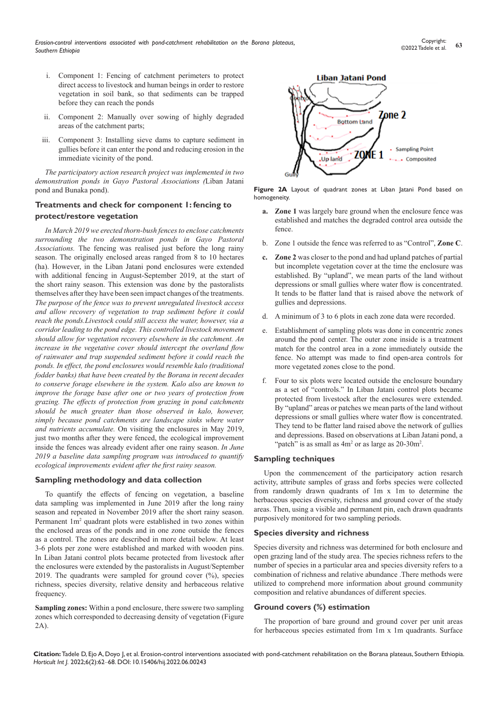*Erosion-control interventions associated with pond-catchment rehabilitation on the Borana plateaus, Southern Ethiopia*

- i. Component 1: Fencing of catchment perimeters to protect direct access to livestock and human beings in order to restore vegetation in soil bank, so that sediments can be trapped before they can reach the ponds
- ii. Component 2: Manually over sowing of highly degraded areas of the catchment parts;
- iii. Component 3: Installing sieve dams to capture sediment in gullies before it can enter the pond and reducing erosion in the immediate vicinity of the pond.

*The participatory action research project was implemented in two demonstration ponds in Gayo Pastoral Associations (*Liban Jatani pond and Bunaka pond).

# **Treatments and check for component 1: fencing to protect/restore vegetation**

*In March 2019 we erected thorn-bush fences to enclose catchments surrounding the two demonstration ponds in Gayo Pastoral Associations.* The fencing was realised just before the long rainy season. The originally enclosed areas ranged from 8 to 10 hectares (ha). However, in the Liban Jatani pond enclosures were extended with additional fencing in August-September 2019, at the start of the short rainy season. This extension was done by the pastoralists themselves after they have been seen impact changes of the treatments. *The purpose of the fence was to prevent unregulated livestock access and allow recovery of vegetation to trap sediment before it could reach the ponds.Livestock could still access the water, however, via a corridor leading to the pond edge. This controlled livestock movement should allow for vegetation recovery elsewhere in the catchment. An increase in the vegetative cover should intercept the overland flow of rainwater and trap suspended sediment before it could reach the ponds. In effect, the pond enclosures would resemble kalo (traditional fodder banks) that have been created by the Borana in recent decades to conserve forage elsewhere in the system. Kalo also are known to improve the forage base after one or two years of protection from grazing. The effects of protection from grazing in pond catchments should be much greater than those observed in kalo, however, simply because pond catchments are landscape sinks where water and nutrients accumulate.* On visiting the enclosures in May 2019, just two months after they were fenced, the ecological improvement inside the fences was already evident after one rainy season. *In June 2019 a baseline data sampling program was introduced to quantify ecological improvements evident after the first rainy season.*

### **Sampling methodology and data collection**

To quantify the effects of fencing on vegetation, a baseline data sampling was implemented in June 2019 after the long rainy season and repeated in November 2019 after the short rainy season. Permanent 1m<sup>2</sup> quadrant plots were established in two zones within the enclosed areas of the ponds and in one zone outside the fences as a control. The zones are described in more detail below. At least 3-6 plots per zone were established and marked with wooden pins. In Liban Jatani control plots became protected from livestock after the enclosures were extended by the pastoralists in August/September 2019. The quadrants were sampled for ground cover  $(\%)$ , species richness, species diversity, relative density and herbaceous relative frequency.

**Sampling zones:** Within a pond enclosure, there sswere two sampling zones which corresponded to decreasing density of vegetation (Figure 2A).



**Figure 2A** Layout of quadrant zones at Liban Jatani Pond based on homogeneity.

- **a. Zone 1** was largely bare ground when the enclosure fence was established and matches the degraded control area outside the fence.
- b. Zone 1 outside the fence was referred to as "Control", **Zone C**.
- **c. Zone 2** was closer to the pond and had upland patches of partial but incomplete vegetation cover at the time the enclosure was established. By "upland", we mean parts of the land without depressions or small gullies where water flow is concentrated. It tends to be flatter land that is raised above the network of gullies and depressions.
- d. A minimum of 3 to 6 plots in each zone data were recorded.
- e. Establishment of sampling plots was done in concentric zones around the pond center. The outer zone inside is a treatment match for the control area in a zone immediately outside the fence. No attempt was made to find open-area controls for more vegetated zones close to the pond.
- f. Four to six plots were located outside the enclosure boundary as a set of "controls." In Liban Jatani control plots became protected from livestock after the enclosures were extended. By "upland" areas or patches we mean parts of the land without depressions or small gullies where water flow is concentrated. They tend to be flatter land raised above the network of gullies and depressions. Based on observations at Liban Jatani pond, a "patch" is as small as  $4m^2$  or as large as  $20-30m^2$ .

# **Sampling techniques**

Upon the commencement of the participatory action resarch activity, attribute samples of grass and forbs species were collected from randomly drawn quadrants of 1m x 1m to determine the herbaceous species diversity, richness and ground cover of the study areas. Then, using a visible and permanent pin, each drawn quadrants purposively monitored for two sampling periods.

# **Species diversity and richness**

Species diversity and richness was determined for both enclosure and open grazing land of the study area. The species richness refers to the number of species in a particular area and species diversity refers to a combination of richness and relative abundance .There methods were utilized to comprehend more information about ground community composition and relative abundances of different species.

### **Ground covers (%) estimation**

The proportion of bare ground and ground cover per unit areas for herbaceous species estimated from 1m x 1m quadrants. Surface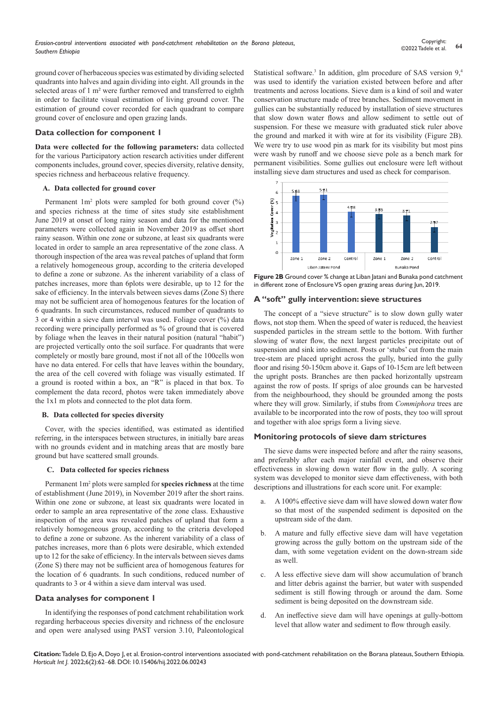ground cover of herbaceous species was estimated by dividing selected quadrants into halves and again dividing into eight. All grounds in the selected areas of 1 m² were further removed and transferred to eighth in order to facilitate visual estimation of living ground cover. The estimation of ground cover recorded for each quadrant to compare ground cover of enclosure and open grazing lands.

# **Data collection for component 1**

**Data were collected for the following parameters:** data collected for the various Participatory action research activities under different components includes, ground cover, species diversity, relative density, species richness and herbaceous relative frequency.

#### **A. Data collected for ground cover**

Permanent 1m<sup>2</sup> plots were sampled for both ground cover  $(\%)$ and species richness at the time of sites study site establishment June 2019 at onset of long rainy season and data for the mentioned parameters were collected again in November 2019 as offset short rainy season. Within one zone or subzone, at least six quadrants were located in order to sample an area representative of the zone class. A thorough inspection of the area was reveal patches of upland that form a relatively homogeneous group, according to the criteria developed to define a zone or subzone. As the inherent variability of a class of patches increases, more than 6plots were desirable, up to 12 for the sake of efficiency. In the intervals between sieves dams (Zone S) there may not be sufficient area of homogenous features for the location of 6 quadrants. In such circumstances, reduced number of quadrants to 3 or 4 within a sieve dam interval was used. Foliage cover (%) data recording were principally performed as % of ground that is covered by foliage when the leaves in their natural position (natural "habit") are projected vertically onto the soil surface. For quadrants that were completely or mostly bare ground, most if not all of the 100cells won have no data entered. For cells that have leaves within the boundary, the area of the cell covered with foliage was visually estimated. If a ground is rooted within a box, an "R" is placed in that box. To complement the data record, photos were taken immediately above the 1x1 m plots and connected to the plot data form.

### **B. Data collected for species diversity**

Cover, with the species identified, was estimated as identified referring, in the interspaces between structures, in initially bare areas with no grounds evident and in matching areas that are mostly bare ground but have scattered small grounds.

### **C. Data collected for species richness**

Permanent 1m<sup>2</sup> plots were sampled for **species richness** at the time of establishment (June 2019), in November 2019 after the short rains. Within one zone or subzone, at least six quadrants were located in order to sample an area representative of the zone class. Exhaustive inspection of the area was revealed patches of upland that form a relatively homogeneous group, according to the criteria developed to define a zone or subzone. As the inherent variability of a class of patches increases, more than 6 plots were desirable, which extended up to 12 for the sake of efficiency. In the intervals between sieves dams (Zone S) there may not be sufficient area of homogenous features for the location of 6 quadrants. In such conditions, reduced number of quadrants to 3 or 4 within a sieve dam interval was used.

### **Data analyses for component 1**

In identifying the responses of pond catchment rehabilitation work regarding herbaceous species diversity and richness of the enclosure and open were analysed using PAST version 3.10, Paleontological

Statistical software.<sup>3</sup> In addition, glm procedure of SAS version 9,<sup>4</sup> was used to identify the variation existed between before and after treatments and across locations. Sieve dam is a kind of soil and water conservation structure made of tree branches. Sediment movement in gullies can be substantially reduced by installation of sieve structures that slow down water flows and allow sediment to settle out of suspension. For these we measure with graduated stick ruler above the ground and marked it with wire at for its visibility (Figure 2B). We were try to use wood pin as mark for its visibility but most pins were wash by runoff and we choose sieve pole as a bench mark for permanent visibilities. Some gullies out enclosure were left without installing sieve dam structures and used as check for comparison.



**Figure 2B** Ground cover % change at Liban Jatani and Bunaka pond catchment in different zone of Enclosure VS open grazing areas during Jun, 2019.

# **A "soft" gully intervention: sieve structures**

The concept of a "sieve structure" is to slow down gully water flows, not stop them. When the speed of water is reduced, the heaviest suspended particles in the stream settle to the bottom. With further slowing of water flow, the next largest particles precipitate out of suspension and sink into sediment. Posts or 'stubs' cut from the main tree-stem are placed upright across the gully, buried into the gully floor and rising 50-150cm above it. Gaps of 10-15cm are left between the upright posts. Branches are then packed horizontally upstream against the row of posts. If sprigs of aloe grounds can be harvested from the neighbourhood, they should be grounded among the posts where they will grow. Similarly, if stubs from *Commiphora* trees are available to be incorporated into the row of posts, they too will sprout and together with aloe sprigs form a living sieve.

### **Monitoring protocols of sieve dam strictures**

The sieve dams were inspected before and after the rainy seasons, and preferably after each major rainfall event, and observe their effectiveness in slowing down water flow in the gully. A scoring system was developed to monitor sieve dam effectiveness, with both descriptions and illustrations for each score unit. For example:

- a. A 100% effective sieve dam will have slowed down water flow so that most of the suspended sediment is deposited on the upstream side of the dam.
- b. A mature and fully effective sieve dam will have vegetation growing across the gully bottom on the upstream side of the dam, with some vegetation evident on the down-stream side as well.
- c. A less effective sieve dam will show accumulation of branch and litter debris against the barrier, but water with suspended sediment is still flowing through or around the dam. Some sediment is being deposited on the downstream side.
- d. An ineffective sieve dam will have openings at gully-bottom level that allow water and sediment to flow through easily.

**Citation:** Tadele D, Ejo A, Doyo J, et al. Erosion-control interventions associated with pond-catchment rehabilitation on the Borana plateaus, Southern Ethiopia. *Horticult Int J.* 2022;6(2):62‒68. DOI: [10.15406/hij.2022.06.00243](https://doi.org/10.15406/hij.2022.06.00243)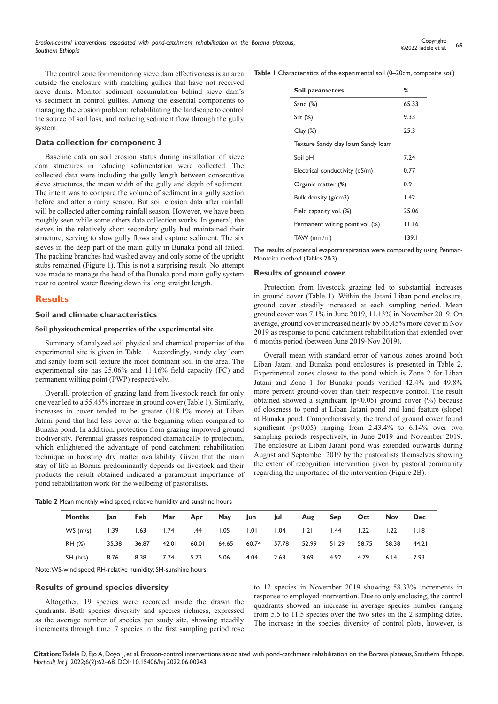The control zone for monitoring sieve dam effectiveness is an area outside the enclosure with matching gullies that have not received sieve dams. Monitor sediment accumulation behind sieve dam's vs sediment in control gullies. Among the essential components to managing the erosion problem: rehabilitating the landscape to control the source of soil loss, and reducing sediment flow through the gully system.

### **Data collection for component 3**

Baseline data on soil erosion status during installation of sieve dam structures in reducing sedimentation were collected. The collected data were including the gully length between consecutive sieve structures, the mean width of the gully and depth of sediment. The intent was to compare the volume of sediment in a gully section before and after a rainy season. But soil erosion data after rainfall will be collected after coming rainfall season. However, we have been roughly seen while some others data collection works. In general, the sieves in the relatively short secondary gully had maintained their structure, serving to slow gully flows and capture sediment. The six sieves in the deep part of the main gully in Bunaka pond all failed. The packing branches had washed away and only some of the upright stubs remained (Figure 1). This is not a surprising result. No attempt was made to manage the head of the Bunaka pond main gully system near to control water flowing down its long straight length.

# **Results**

# **Soil and climate characteristics**

#### **Soil physicochemical properties of the experimental site**

Summary of analyzed soil physical and chemical properties of the experimental site is given in Table 1. Accordingly, sandy clay loam and sandy loam soil texture the most dominant soil in the area. The experimental site has 25.06% and 11.16% field capacity (FC) and permanent wilting point (PWP) respectively.

Overall, protection of grazing land from livestock reach for only one year led to a 55.45% increase in ground cover (Table 1). Similarly, increases in cover tended to be greater (118.1% more) at Liban Jatani pond that had less cover at the beginning when compared to Bunaka pond. In addition, protection from grazing improved ground biodiversity. Perennial grasses responded dramatically to protection, which enlightened the advantage of pond catchment rehabilitation technique in boosting dry matter availability. Given that the main stay of life in Borana predominantly depends on livestock and their products the result obtained indicated a paramount importance of pond rehabilitation work for the wellbeing of pastoralists.

**Table 2** Mean monthly wind speed, relative humidity and sunshine hours

| <b>Months</b> | lan   | Feb   | Mar           | Apr  |                         | May Jun | Jul  | Aug   | Sep   | Oct   | <b>Nov</b> | <b>Dec</b> |
|---------------|-------|-------|---------------|------|-------------------------|---------|------|-------|-------|-------|------------|------------|
| WS(m/s)       | 1.39  | 1.63  | $1.74$ $1.44$ |      | $1.05$ $1.01$           |         | 1.04 | 1.21  | 1.44  | 1.22  | 1.22       | 1.18       |
| RH (%)        | 35.38 | 36.87 | 42.01         |      | 60.01 64.65 60.74 57.78 |         |      | 52.99 | 51.29 | 58.75 | 58.38      | 44.21      |
| SH (hrs)      | 8.76  | 8.38  | 7.74          | 5.73 | 5.06                    | 4.04    | 2.63 | 3.69  | 4.92  | 4.79  | 6.14       | 7.93       |
|               |       |       |               |      |                         |         |      |       |       |       |            |            |

Note: WS-wind speed; RH-relative humidity; SH-sunshine hours

#### **Results of ground species diversity**

Altogether, 19 species were recorded inside the drawn the quadrants. Both species diversity and species richness, expressed as the average number of species per study site, showing steadily increments through time: 7 species in the first sampling period rose

to 12 species in November 2019 showing 58.33% increments in response to employed intervention. Due to only enclosing, the control quadrants showed an increase in average species number ranging from 5.5 to 11.5 species over the two sites on the 2 sampling dates. The increase in the species diversity of control plots, however, is

**Citation:** Tadele D, Ejo A, Doyo J, et al. Erosion-control interventions associated with pond-catchment rehabilitation on the Borana plateaus, Southern Ethiopia. *Horticult Int J.* 2022;6(2):62‒68. DOI: [10.15406/hij.2022.06.00243](https://doi.org/10.15406/hij.2022.06.00243)

**Table 1** Characteristics of the experimental soil (0–20cm, composite soil)

| ℅<br>Soil parameters<br>65.33<br>Sand (%)<br>9.33<br>Silt (%)<br>25.3<br>$Clay (\%)$<br>Texture Sandy clay loam Sandy loam<br>7.24<br>Soil pH<br>Electrical conductivity (dS/m)<br>0.77<br>0.9<br>Organic matter (%)<br>1.42<br>Bulk density (g/cm3)<br>25.06<br>Field capacity vol. (%)<br>11.16<br>Permanent wilting point vol. (%)<br>139.1<br>TAW (mm/m) |  |
|--------------------------------------------------------------------------------------------------------------------------------------------------------------------------------------------------------------------------------------------------------------------------------------------------------------------------------------------------------------|--|
|                                                                                                                                                                                                                                                                                                                                                              |  |
|                                                                                                                                                                                                                                                                                                                                                              |  |
|                                                                                                                                                                                                                                                                                                                                                              |  |
|                                                                                                                                                                                                                                                                                                                                                              |  |
|                                                                                                                                                                                                                                                                                                                                                              |  |
|                                                                                                                                                                                                                                                                                                                                                              |  |
|                                                                                                                                                                                                                                                                                                                                                              |  |
|                                                                                                                                                                                                                                                                                                                                                              |  |
|                                                                                                                                                                                                                                                                                                                                                              |  |
|                                                                                                                                                                                                                                                                                                                                                              |  |
|                                                                                                                                                                                                                                                                                                                                                              |  |
|                                                                                                                                                                                                                                                                                                                                                              |  |

The results of potential evapotranspiration were computed by using Penman-Monteith method (Tables 2&3)

#### **Results of ground cover**

Protection from livestock grazing led to substantial increases in ground cover (Table 1). Within the Jatani Liban pond enclosure, ground cover steadily increased at each sampling period. Mean ground cover was 7.1% in June 2019, 11.13% in November 2019. On average, ground cover increased nearly by 55.45% more cover in Nov 2019 as response to pond catchment rehabilitation that extended over 6 months period (between June 2019-Nov 2019).

Overall mean with standard error of various zones around both Liban Jatani and Bunaka pond enclosures is presented in Table 2. Experimental zones closest to the pond which is Zone 2 for Liban Jatani and Zone 1 for Bunaka ponds verified 42.4% and 49.8% more percent ground-cover than their respective control. The result obtained showed a significant ( $p$ <0.05) ground cover (%) because of closeness to pond at Liban Jatani pond and land feature (slope) at Bunaka pond. Comprehensively, the trend of ground cover found significant ( $p<0.05$ ) ranging from 2.43.4% to 6.14% over two sampling periods respectively, in June 2019 and November 2019. The enclosure at Liban Jatani pond was extended outwards during August and September 2019 by the pastoralists themselves showing the extent of recognition intervention given by pastoral community regarding the importance of the intervention (Figure 2B).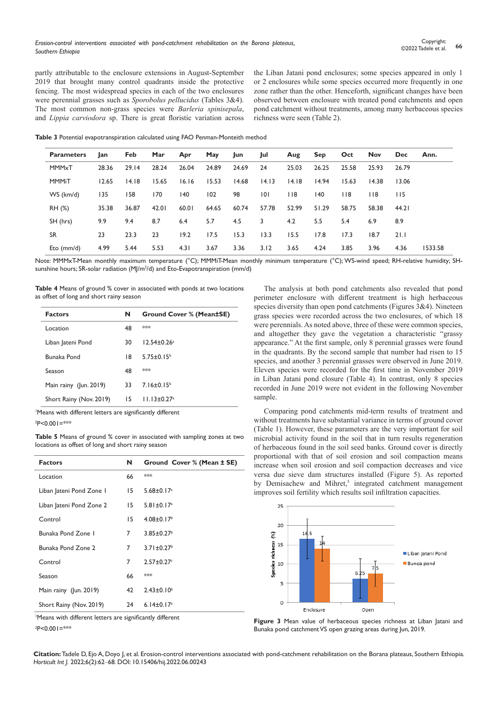partly attributable to the enclosure extensions in August-September 2019 that brought many control quadrants inside the protective fencing. The most widespread species in each of the two enclosures were perennial grasses such as *Sporobolus pellucidus* (Tables 3&4). The most common non-grass species were *Barleria spinisepala*, and *Lippia carviodora* sp. There is great floristic variation across the Liban Jatani pond enclosures; some species appeared in only 1 or 2 enclosures while some species occurred more frequently in one zone rather than the other. Henceforth, significant changes have been observed between enclosure with treated pond catchments and open pond catchment without treatments, among many herbaceous species richness were seen (Table 2).

**Table 3** Potential evapotranspiration calculated using FAO Penman-Monteith method

| <b>Parameters</b> | Jan   | <b>Feb</b> | Mar   | Apr   | May   | Jun   | Jul   | Aug   | Sep   | Oct       | <b>Nov</b> | <b>Dec</b> | Ann.    |
|-------------------|-------|------------|-------|-------|-------|-------|-------|-------|-------|-----------|------------|------------|---------|
| <b>MMMxT</b>      | 28.36 | 29.14      | 28.24 | 26.04 | 24.89 | 24.69 | 24    | 25.03 | 26.25 | 25.58     | 25.93      | 26.79      |         |
| <b>MMMiT</b>      | 12.65 | 14.18      | 15.65 | 16.16 | 15.53 | 14.68 | 14.13 | 14.18 | 14.94 | 15.63     | 14.38      | 13.06      |         |
| WS (km/d)         | 135   | 158        | 170   | 140   | 102   | 98    | 0     | 118   | 140   | $ $ $ $ 8 | $ $  8     | 115        |         |
| RH (%)            | 35.38 | 36.87      | 42.01 | 60.01 | 64.65 | 60.74 | 57.78 | 52.99 | 51.29 | 58.75     | 58.38      | 44.21      |         |
| SH (hrs)          | 9.9   | 9.4        | 8.7   | 6.4   | 5.7   | 4.5   | 3     | 4.2   | 5.5   | 5.4       | 6.9        | 8.9        |         |
| <b>SR</b>         | 23    | 23.3       | 23    | 19.2  | 17.5  | 15.3  | 13.3  | 15.5  | 17.8  | 17.3      | 18.7       | 21.1       |         |
| $Eto$ (mm/d)      | 4.99  | 5.44       | 5.53  | 4.31  | 3.67  | 3.36  | 3.12  | 3.65  | 4.24  | 3.85      | 3.96       | 4.36       | 1533.58 |

Note: MMMxT-Mean monthly maximum temperature (°C); MMMiT-Mean monthly minimum temperature (°C); WS-wind speed; RH-relative humidity; SHsunshine hours; SR-solar radiation (MJ/m<sup>2</sup>/d) and Eto-Evapotranspiration (mm/d)

**Table 4** Means of ground % cover in associated with ponds at two locations as offset of long and short rainy season

| <b>Factors</b>          | N   | Ground Cover % (Mean±SE)      |
|-------------------------|-----|-------------------------------|
| Location                | 48  | ***                           |
| Liban Jateni Pond       | 30  | $12.54 \pm 0.26$ <sup>a</sup> |
| <b>Bunaka Pond</b>      | 18  | $5.75 + 0.15^b$               |
| Season                  | 48  | ***                           |
| Main rainy (Jun. 2019)  | 33  | $7.16 + 0.15^b$               |
| Short Rainy (Nov. 2019) | 15. | $11.13 \pm 0.27$ <sup>a</sup> |

1 Means with different letters are significantly different

 $P < 0.001 = ***$ 

**Table 5** Means of ground % cover in associated with sampling zones at two locations as offset of long and short rainy season

| <b>Factors</b>           | N  | Ground Cover % (Mean ± SE)   |
|--------------------------|----|------------------------------|
| Location                 | 66 | ***                          |
| Liban Jateni Pond Zone I | 15 | $5.68 \pm 0.17$ <sup>a</sup> |
| Liban Jateni Pond Zone 2 | 15 | $5.81 \pm 0.17$ <sup>a</sup> |
| Control                  | 15 | $4.08 \pm 0.17$ <sup>b</sup> |
| Bunaka Pond Zone I       | 7  | $3.85 \pm 0.27$ <sup>b</sup> |
| Bunaka Pond Zone 2       | 7  | $3.71 \pm 0.27$ <sup>b</sup> |
| Control                  | 7  | $2.57 \pm 0.27$ °            |
| Season                   | 66 | ***                          |
| Main rainy (Jun. 2019)   | 42 | $2.43 \pm 0.10^b$            |
| Short Rainy (Nov. 2019)  | 24 | $6.14 \pm 0.17$ <sup>a</sup> |

1 Means with different letters are significantly different 2 P<0.001=\*\*\*

The analysis at both pond catchments also revealed that pond perimeter enclosure with different treatment is high herbaceous species diversity than open pond catchments (Figures 3&4). Nineteen grass species were recorded across the two enclosures, of which 18 were perennials. As noted above, three of these were common species, and altogether they gave the vegetation a characteristic "grassy appearance." At the first sample, only 8 perennial grasses were found in the quadrants. By the second sample that number had risen to 15 species, and another 3 perennial grasses were observed in June 2019. Eleven species were recorded for the first time in November 2019 in Liban Jatani pond closure (Table 4). In contrast, only 8 species recorded in June 2019 were not evident in the following November sample.

Comparing pond catchments mid-term results of treatment and without treatments have substantial variance in terms of ground cover (Table 1). However, these parameters are the very important for soil microbial activity found in the soil that in turn results regeneration of herbaceous found in the soil seed banks. Ground cover is directly proportional with that of soil erosion and soil compaction means increase when soil erosion and soil compaction decreases and vice versa due sieve dam structures installed (Figure 5). As reported by Demisachew and Mihret,<sup>5</sup> integrated catchment management improves soil fertility which results soil infiltration capacities.





**Citation:** Tadele D, Ejo A, Doyo J, et al. Erosion-control interventions associated with pond-catchment rehabilitation on the Borana plateaus, Southern Ethiopia. *Horticult Int J.* 2022;6(2):62‒68. DOI: [10.15406/hij.2022.06.00243](https://doi.org/10.15406/hij.2022.06.00243)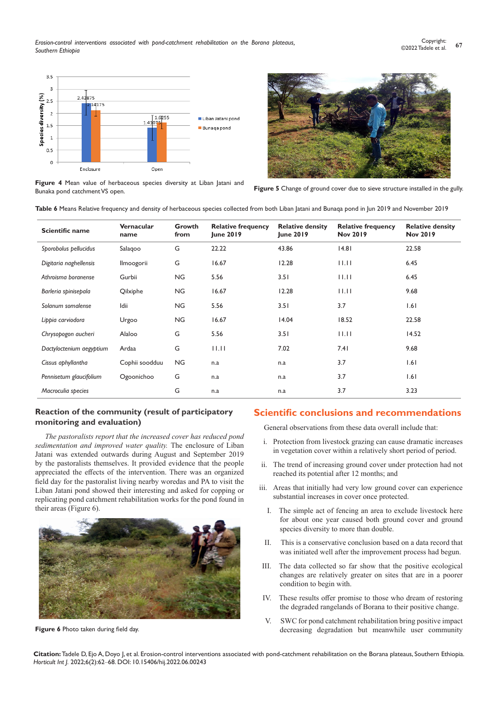*Erosion-control interventions associated with pond-catchment rehabilitation on the Borana plateaus, Southern Ethiopia*





Figure 4 Mean value of herbaceous species diversity at Liban Jatani and Bunaka pond catchment VS open. **Figure 5** Change of ground cover due to sieve structure installed in the gully.

**Table 6** Means Relative frequency and density of herbaceous species collected from both Liban Jatani and Bunaqa pond in Jun 2019 and November 2019

| Scientific name          | Vernacular<br>name | Growth<br>from | <b>Relative frequency</b><br><b>June 2019</b> | <b>Relative density</b><br><b>June 2019</b> | <b>Relative frequency</b><br><b>Nov 2019</b> | <b>Relative density</b><br><b>Nov 2019</b> |
|--------------------------|--------------------|----------------|-----------------------------------------------|---------------------------------------------|----------------------------------------------|--------------------------------------------|
| Sporobolus pellucidus    | Salagoo            | G              | 22.22                                         | 43.86                                       | 4.8                                          | 22.58                                      |
| Digitaria naghellensis   | Ilmoogorii         | G              | 16.67                                         | 12.28                                       | 11.11                                        | 6.45                                       |
| Athroisma boranense      | Gurbii             | <b>NG</b>      | 5.56                                          | 3.51                                        | 11.11                                        | 6.45                                       |
| Barleria spinisepala     | Qilxiphe           | <b>NG</b>      | 16.67                                         | 12.28                                       | 11.11                                        | 9.68                                       |
| Solanum somalense        | Idii               | <b>NG</b>      | 5.56                                          | 3.51                                        | 3.7                                          | 1.61                                       |
| Lippia carviodora        | Urgoo              | NG.            | 16.67                                         | 14.04                                       | 18.52                                        | 22.58                                      |
| Chrysopogon aucheri      | Alaloo             | G              | 5.56                                          | 3.51                                        | 11.11                                        | 14.52                                      |
| Dactyloctenium aegyptium | Ardaa              | G              | 11.11                                         | 7.02                                        | 7.41                                         | 9.68                                       |
| Cissus aphyllantha       | Cophii soodduu     | <b>NG</b>      | n.a                                           | n.a                                         | 3.7                                          | 1.61                                       |
| Pennisetum glaucifolium  | Ogoonichoo         | G              | n.a                                           | n.a                                         | 3.7                                          | 1.61                                       |
| Macroculia species       |                    | G              | n.a                                           | n.a                                         | 3.7                                          | 3.23                                       |

# **Reaction of the community (result of participatory monitoring and evaluation)**

*The pastoralists report that the increased cover has reduced pond sedimentation and improved water quality.* The enclosure of Liban Jatani was extended outwards during August and September 2019 by the pastoralists themselves. It provided evidence that the people appreciated the effects of the intervention. There was an organized field day for the pastoralist living nearby woredas and PA to visit the Liban Jatani pond showed their interesting and asked for copping or replicating pond catchment rehabilitation works for the pond found in their areas (Figure 6).



**Figure 6** Photo taken during field day.

# **Scientific conclusions and recommendations**

General observations from these data overall include that:

- i. Protection from livestock grazing can cause dramatic increases in vegetation cover within a relatively short period of period.
- ii. The trend of increasing ground cover under protection had not reached its potential after 12 months; and
- iii. Areas that initially had very low ground cover can experience substantial increases in cover once protected.
	- I. The simple act of fencing an area to exclude livestock here for about one year caused both ground cover and ground species diversity to more than double.
	- II. This is a conservative conclusion based on a data record that was initiated well after the improvement process had begun.
- III. The data collected so far show that the positive ecological changes are relatively greater on sites that are in a poorer condition to begin with.
- IV. These results offer promise to those who dream of restoring the degraded rangelands of Borana to their positive change.
- V. SWC for pond catchment rehabilitation bring positive impact decreasing degradation but meanwhile user community

**Citation:** Tadele D, Ejo A, Doyo J, et al. Erosion-control interventions associated with pond-catchment rehabilitation on the Borana plateaus, Southern Ethiopia. *Horticult Int J.* 2022;6(2):62‒68. DOI: [10.15406/hij.2022.06.00243](https://doi.org/10.15406/hij.2022.06.00243)